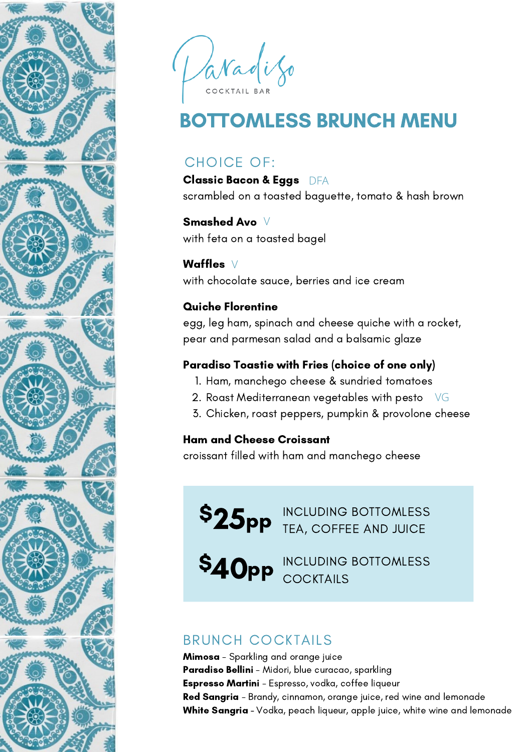

Paradizo

# BOTTOMLESS BRUNCH MENU

## CHOICE OF:

Classic Bacon & Eggs DFA scrambled on a toasted baguette, tomato & hash brown

Smashed Avo V with feta on a toasted bagel

Waffles V

with chocolate sauce, berries and ice cream

#### Quiche Florentine

egg, leg ham, spinach and cheese quiche with a rocket, pear and parmesan salad and a balsamic glaze

#### Paradiso Toastie with Fries (choice of one only)

- 1. Ham, manchego cheese & sundried tomatoes
- 2. Roast Mediterranean vegetables with pesto $\;\;\;\forall\mathsf{G}\;$
- Chicken, roast peppers, pumpkin & provolone cheese 3.

#### Ham and Cheese Croissant

croissant filled with ham and manchego cheese

\$25<sub>pp</sub> Including Bottomless  $\mathbf{25^{pp}}$  including bottomless

INCLUDING BOTTOMLESS **COCKTAILS** \$40pp

# BRUNCH COCKTAILS

Mimosa - Sparkling and orange juice Paradiso Bellini - Midori, blue curacao, sparkling Espresso Martini - Espresso, vodka, coffee liqueur Red Sangria - Brandy, cinnamon, orange juice, red wine and lemonade White Sangria - Vodka, peach liqueur, apple juice, white wine and lemonade